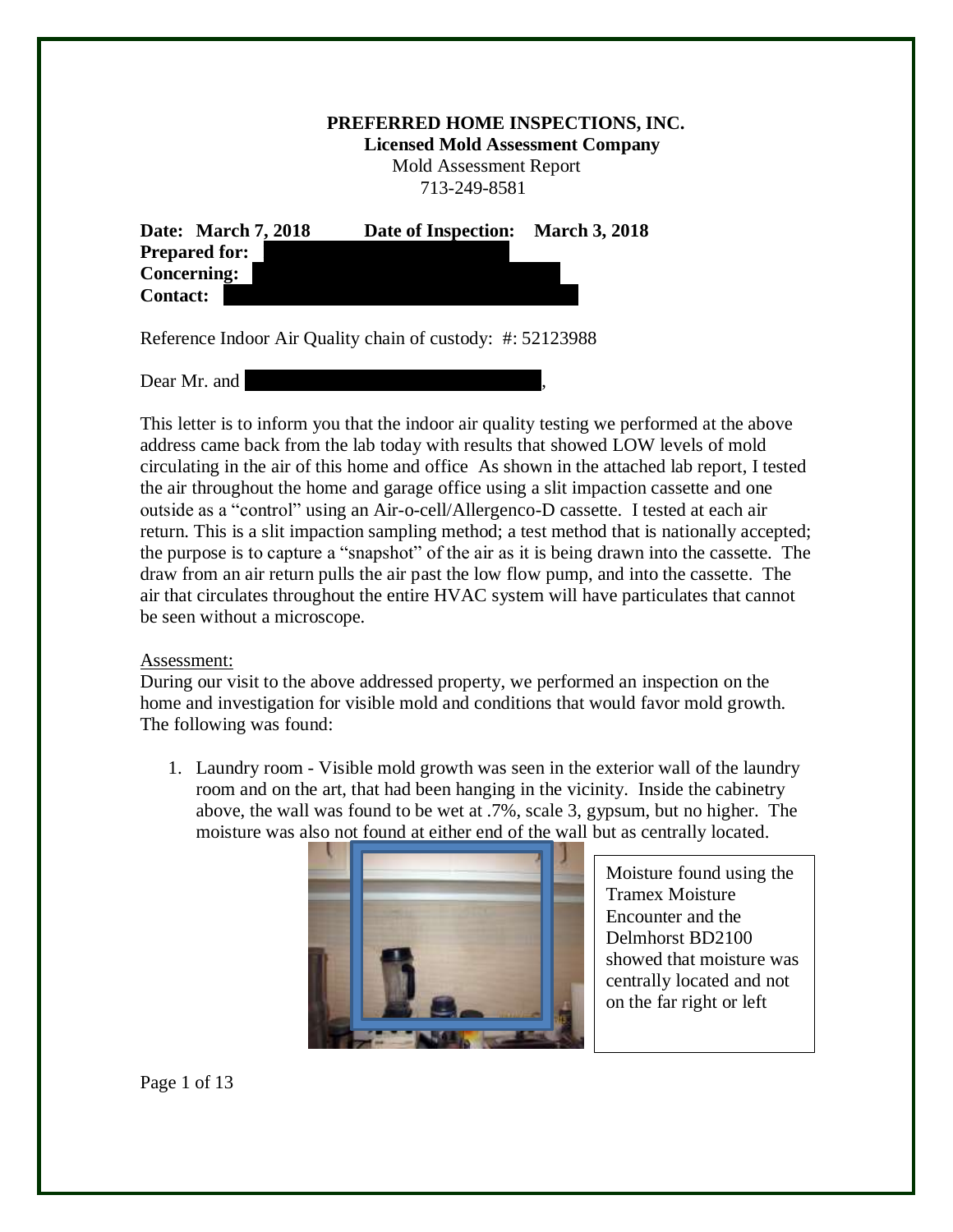## **PREFERRED HOME INSPECTIONS, INC.**

 **Licensed Mold Assessment Company**

 Mold Assessment Report 713-249-8581

| Date: March 7, 2018  | Date of Inspection: | <b>March 3, 2018</b> |
|----------------------|---------------------|----------------------|
| <b>Prepared for:</b> |                     |                      |
| <b>Concerning:</b>   |                     |                      |
| <b>Contact:</b>      |                     |                      |

Reference Indoor Air Quality chain of custody: #: 52123988

Dear Mr. and

This letter is to inform you that the indoor air quality testing we performed at the above address came back from the lab today with results that showed LOW levels of mold circulating in the air of this home and office As shown in the attached lab report, I tested the air throughout the home and garage office using a slit impaction cassette and one outside as a "control" using an Air-o-cell/Allergenco-D cassette. I tested at each air return. This is a slit impaction sampling method; a test method that is nationally accepted; the purpose is to capture a "snapshot" of the air as it is being drawn into the cassette. The draw from an air return pulls the air past the low flow pump, and into the cassette. The air that circulates throughout the entire HVAC system will have particulates that cannot be seen without a microscope.

## Assessment:

During our visit to the above addressed property, we performed an inspection on the home and investigation for visible mold and conditions that would favor mold growth. The following was found:

1. Laundry room - Visible mold growth was seen in the exterior wall of the laundry room and on the art, that had been hanging in the vicinity. Inside the cabinetry above, the wall was found to be wet at .7%, scale 3, gypsum, but no higher. The moisture was also not found at either end of the wall but as centrally located.



Moisture found using the Tramex Moisture Encounter and the Delmhorst BD2100 showed that moisture was centrally located and not on the far right or left

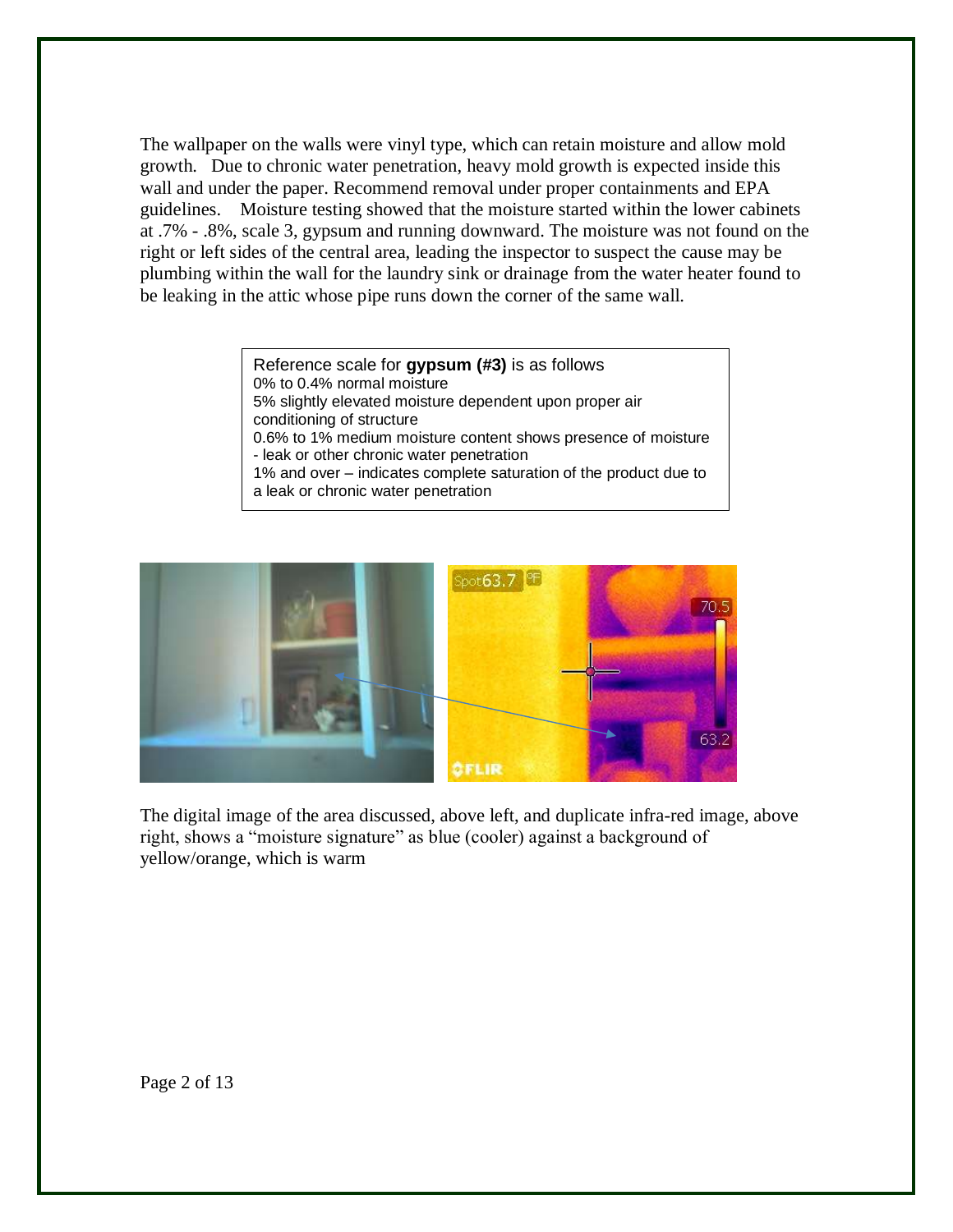The wallpaper on the walls were vinyl type, which can retain moisture and allow mold growth. Due to chronic water penetration, heavy mold growth is expected inside this wall and under the paper. Recommend removal under proper containments and EPA guidelines. Moisture testing showed that the moisture started within the lower cabinets at .7% - .8%, scale 3, gypsum and running downward. The moisture was not found on the right or left sides of the central area, leading the inspector to suspect the cause may be plumbing within the wall for the laundry sink or drainage from the water heater found to be leaking in the attic whose pipe runs down the corner of the same wall.

> Reference scale for **gypsum (#3)** is as follows 0% to 0.4% normal moisture 5% slightly elevated moisture dependent upon proper air conditioning of structure 0.6% to 1% medium moisture content shows presence of moisture - leak or other chronic water penetration 1% and over – indicates complete saturation of the product due to a leak or chronic water penetration



The digital image of the area discussed, above left, and duplicate infra-red image, above right, shows a "moisture signature" as blue (cooler) against a background of yellow/orange, which is warm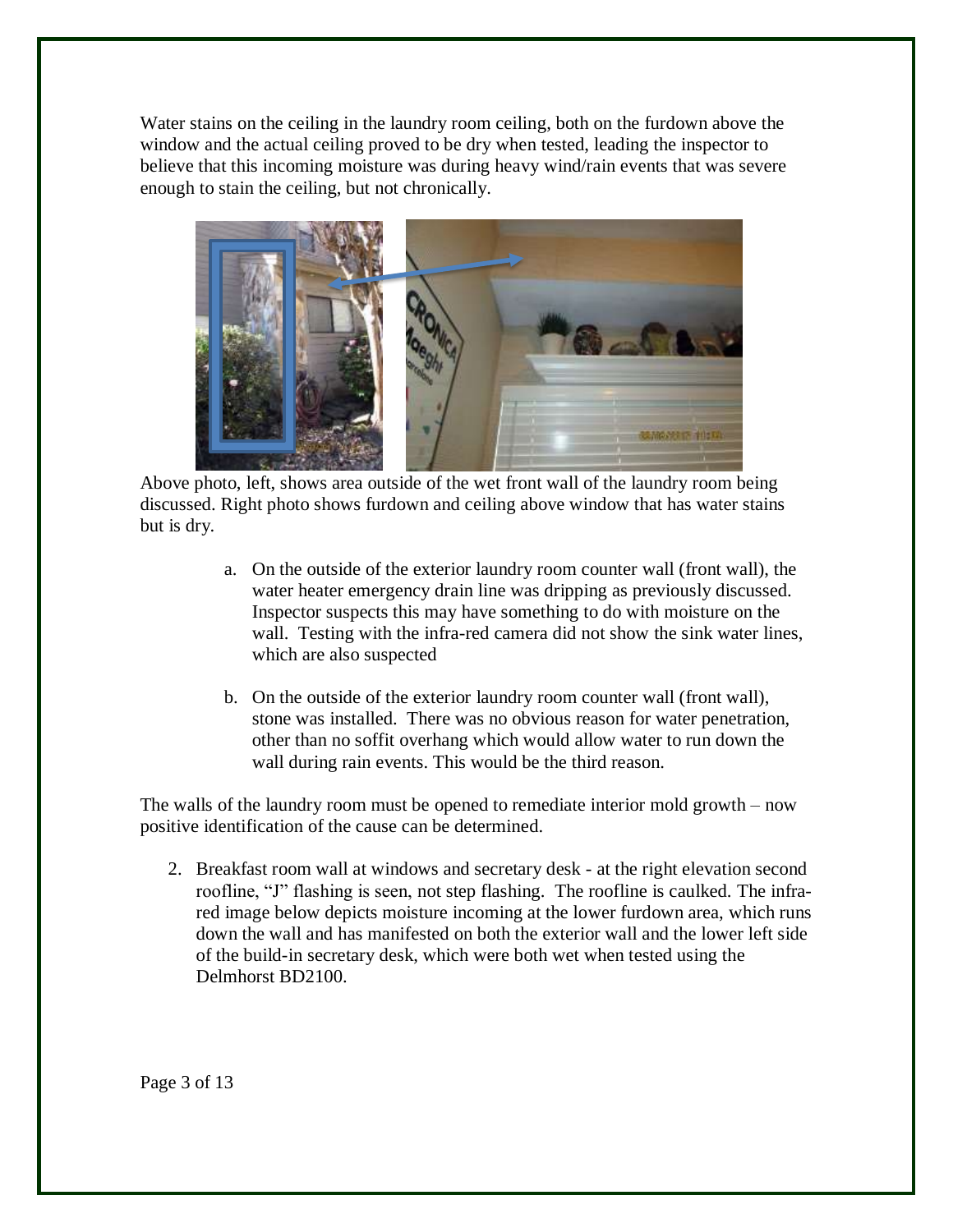Water stains on the ceiling in the laundry room ceiling, both on the furdown above the window and the actual ceiling proved to be dry when tested, leading the inspector to believe that this incoming moisture was during heavy wind/rain events that was severe enough to stain the ceiling, but not chronically.



Above photo, left, shows area outside of the wet front wall of the laundry room being discussed. Right photo shows furdown and ceiling above window that has water stains but is dry.

- a. On the outside of the exterior laundry room counter wall (front wall), the water heater emergency drain line was dripping as previously discussed. Inspector suspects this may have something to do with moisture on the wall. Testing with the infra-red camera did not show the sink water lines, which are also suspected
- b. On the outside of the exterior laundry room counter wall (front wall), stone was installed. There was no obvious reason for water penetration, other than no soffit overhang which would allow water to run down the wall during rain events. This would be the third reason.

The walls of the laundry room must be opened to remediate interior mold growth – now positive identification of the cause can be determined.

2. Breakfast room wall at windows and secretary desk - at the right elevation second roofline, "J" flashing is seen, not step flashing. The roofline is caulked. The infrared image below depicts moisture incoming at the lower furdown area, which runs down the wall and has manifested on both the exterior wall and the lower left side of the build-in secretary desk, which were both wet when tested using the Delmhorst BD2100.

Page 3 of 13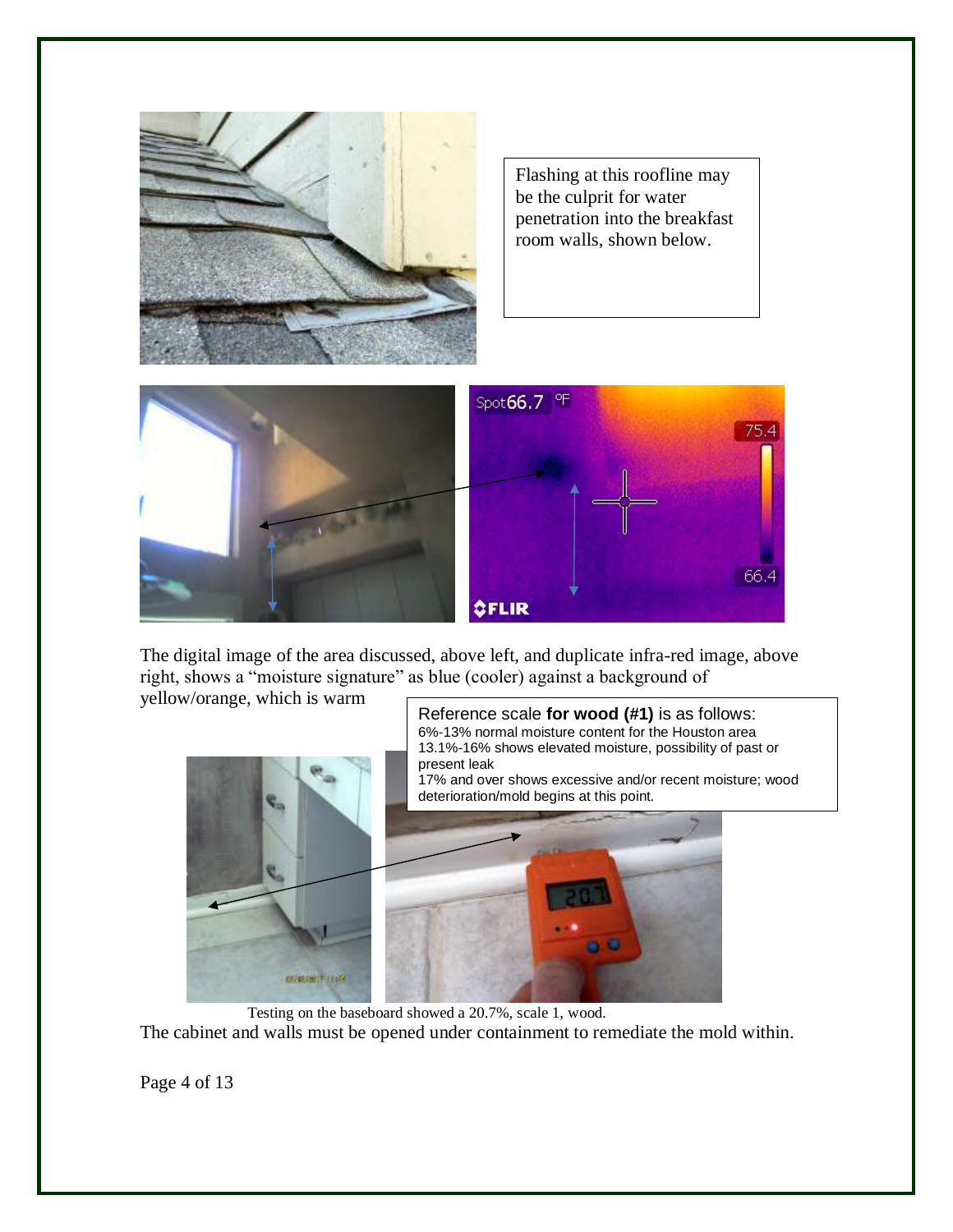

Flashing at this roofline may be the culprit for water penetration into the breakfast room walls, shown below.



The digital image of the area discussed, above left, and duplicate infra-red image, above right, shows a "moisture signature" as blue (cooler) against a background of

yellow/orange, which is warm



 Testing on the baseboard showed a 20.7%, scale 1, wood. The cabinet and walls must be opened under containment to remediate the mold within.

Page 4 of 13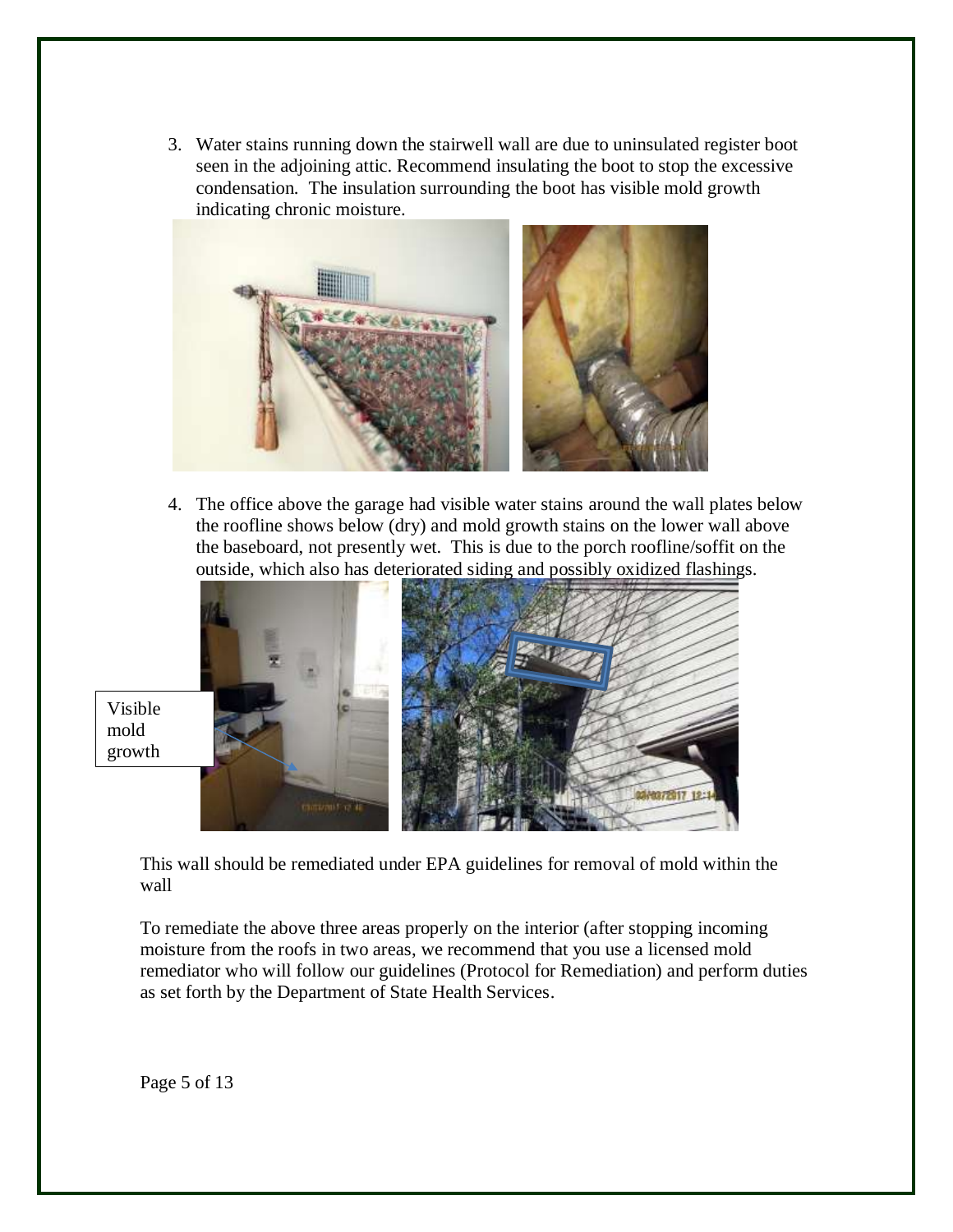3. Water stains running down the stairwell wall are due to uninsulated register boot seen in the adjoining attic. Recommend insulating the boot to stop the excessive condensation. The insulation surrounding the boot has visible mold growth indicating chronic moisture.



4. The office above the garage had visible water stains around the wall plates below the roofline shows below (dry) and mold growth stains on the lower wall above the baseboard, not presently wet. This is due to the porch roofline/soffit on the outside, which also has deteriorated siding and possibly oxidized flashings.



Visible mold growth

> This wall should be remediated under EPA guidelines for removal of mold within the wall

To remediate the above three areas properly on the interior (after stopping incoming moisture from the roofs in two areas, we recommend that you use a licensed mold remediator who will follow our guidelines (Protocol for Remediation) and perform duties as set forth by the Department of State Health Services.

Page 5 of 13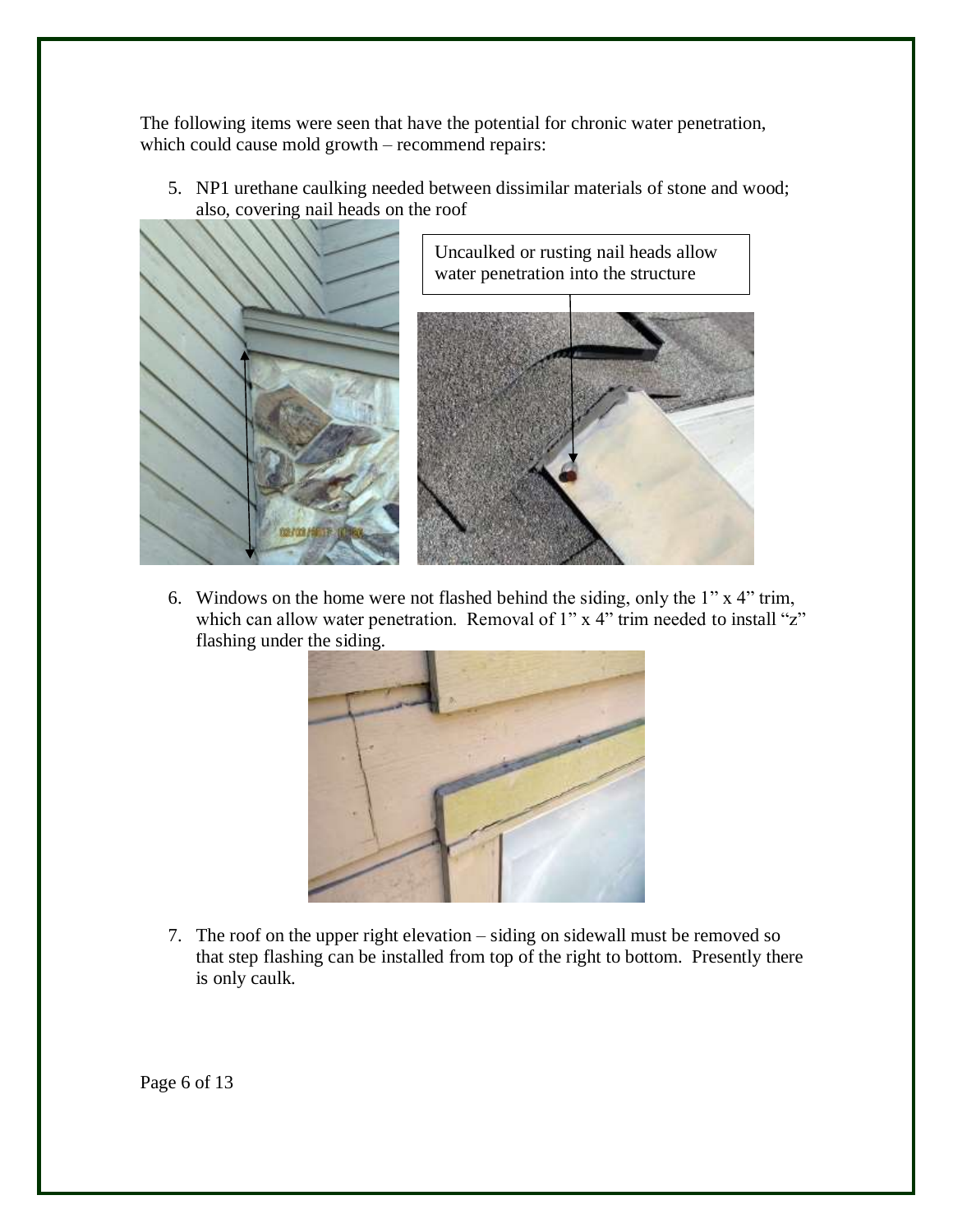The following items were seen that have the potential for chronic water penetration, which could cause mold growth – recommend repairs:

5. NP1 urethane caulking needed between dissimilar materials of stone and wood; also, covering nail heads on the roof



6. Windows on the home were not flashed behind the siding, only the 1" x 4" trim, which can allow water penetration. Removal of 1" x 4" trim needed to install "z" flashing under the siding.



7. The roof on the upper right elevation – siding on sidewall must be removed so that step flashing can be installed from top of the right to bottom. Presently there is only caulk.

Page 6 of 13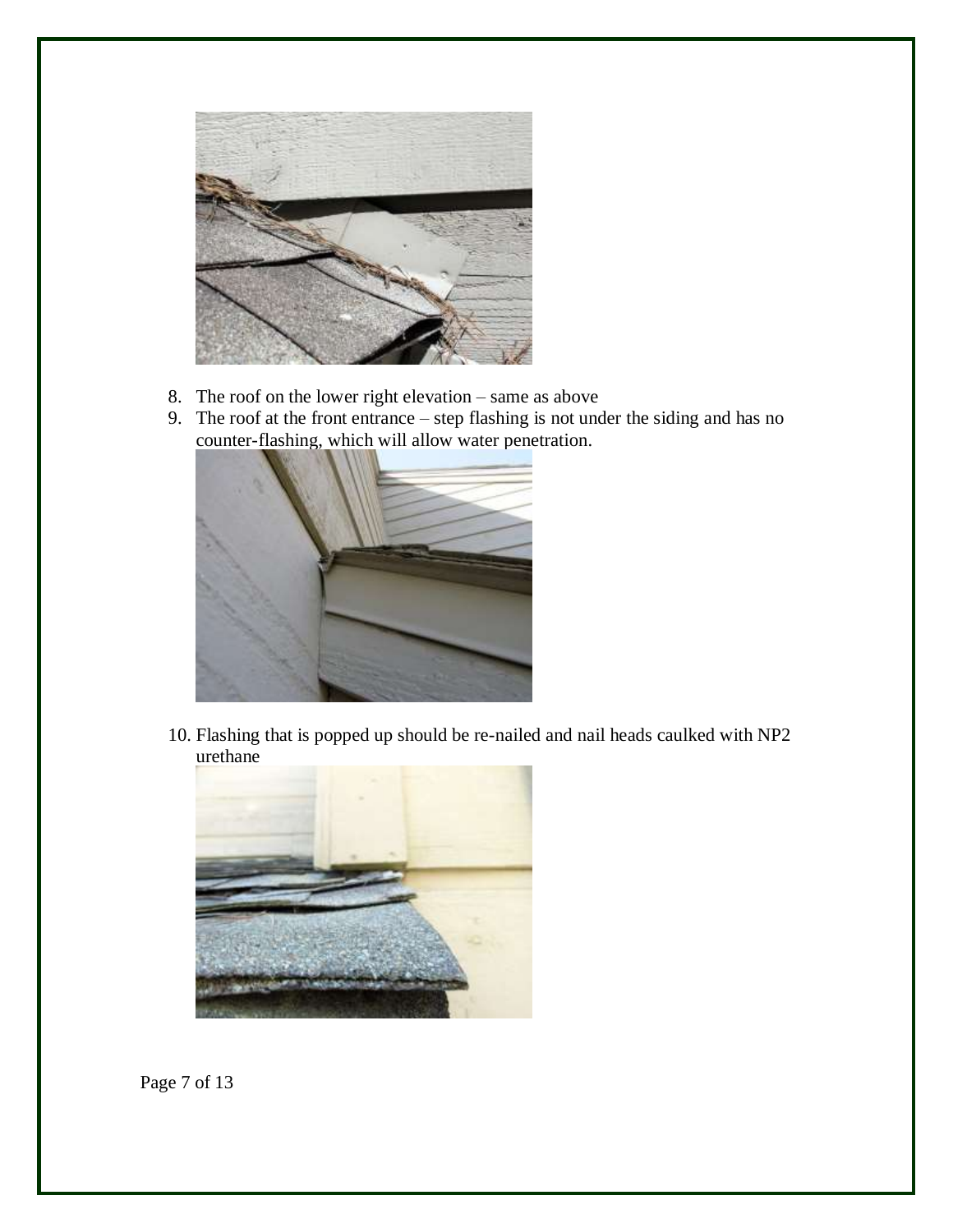

- 8. The roof on the lower right elevation same as above
- 9. The roof at the front entrance step flashing is not under the siding and has no counter-flashing, which will allow water penetration.



10. Flashing that is popped up should be re-nailed and nail heads caulked with NP2 urethane



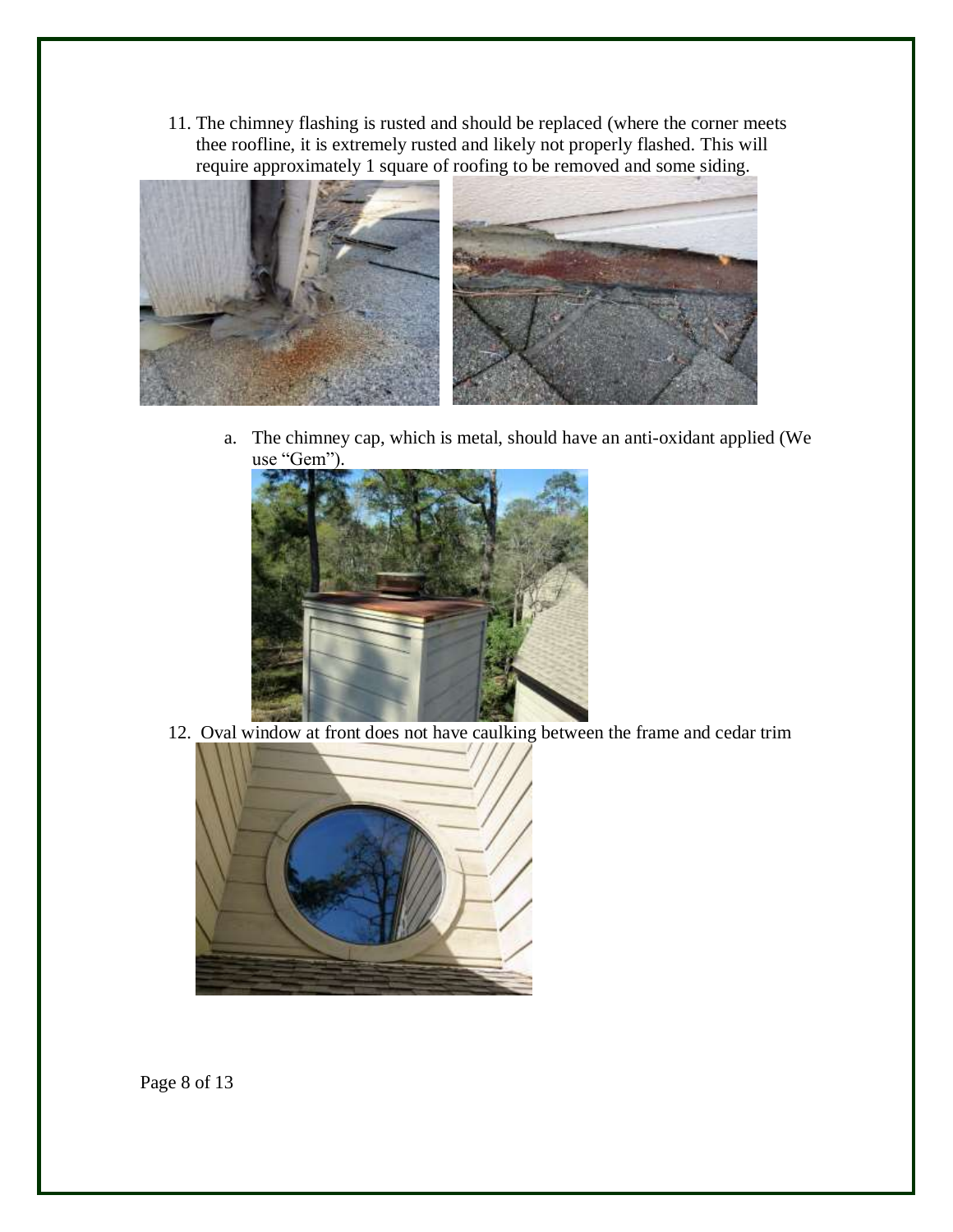11. The chimney flashing is rusted and should be replaced (where the corner meets thee roofline, it is extremely rusted and likely not properly flashed. This will require approximately 1 square of roofing to be removed and some siding.



a. The chimney cap, which is metal, should have an anti-oxidant applied (We use "Gem").



12. Oval window at front does not have caulking between the frame and cedar trim



Page 8 of 13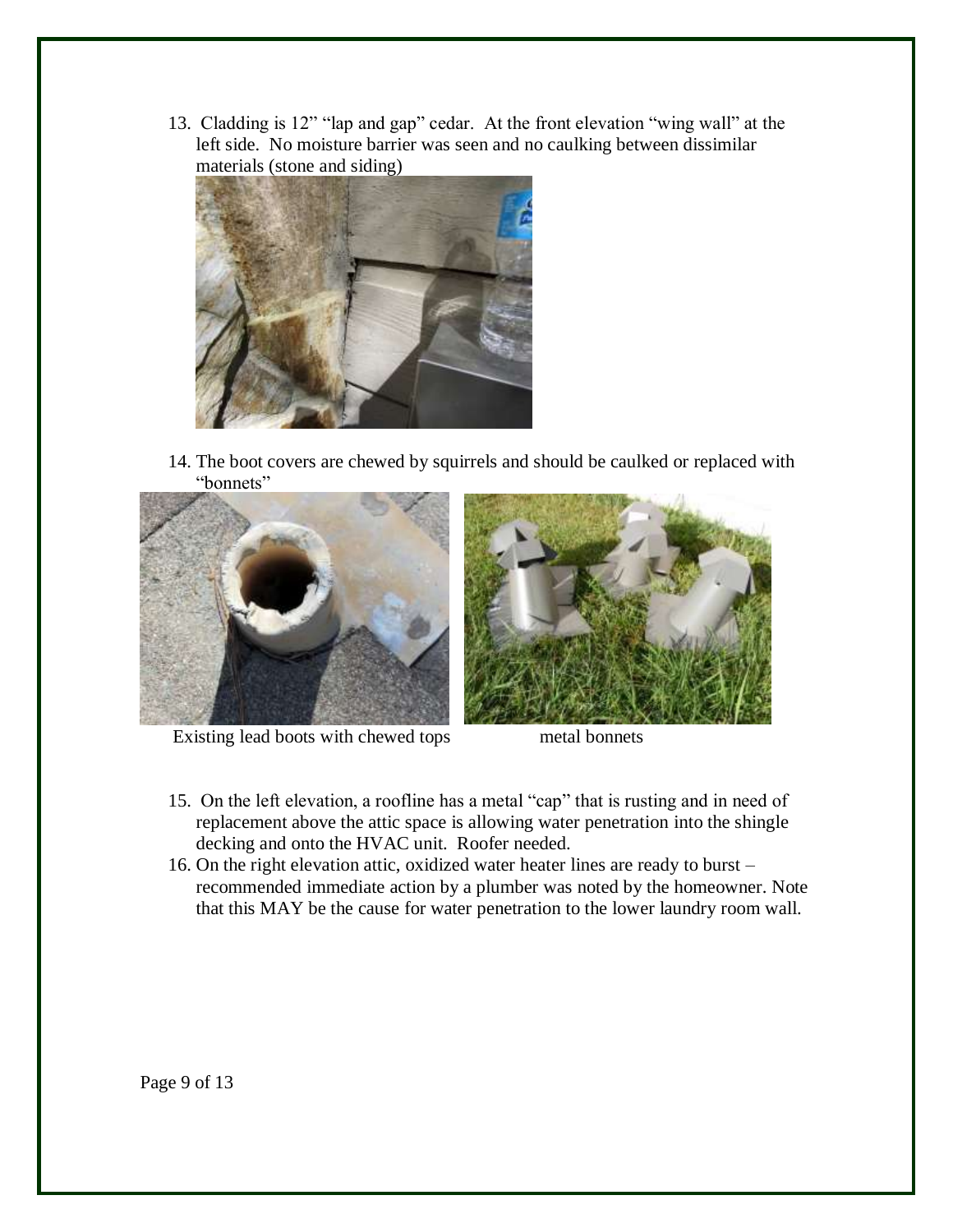13. Cladding is 12" "lap and gap" cedar. At the front elevation "wing wall" at the left side. No moisture barrier was seen and no caulking between dissimilar materials (stone and siding)



14. The boot covers are chewed by squirrels and should be caulked or replaced with "bonnets"



Existing lead boots with chewed tops metal bonnets

- 15. On the left elevation, a roofline has a metal "cap" that is rusting and in need of replacement above the attic space is allowing water penetration into the shingle decking and onto the HVAC unit. Roofer needed.
- 16. On the right elevation attic, oxidized water heater lines are ready to burst recommended immediate action by a plumber was noted by the homeowner. Note that this MAY be the cause for water penetration to the lower laundry room wall.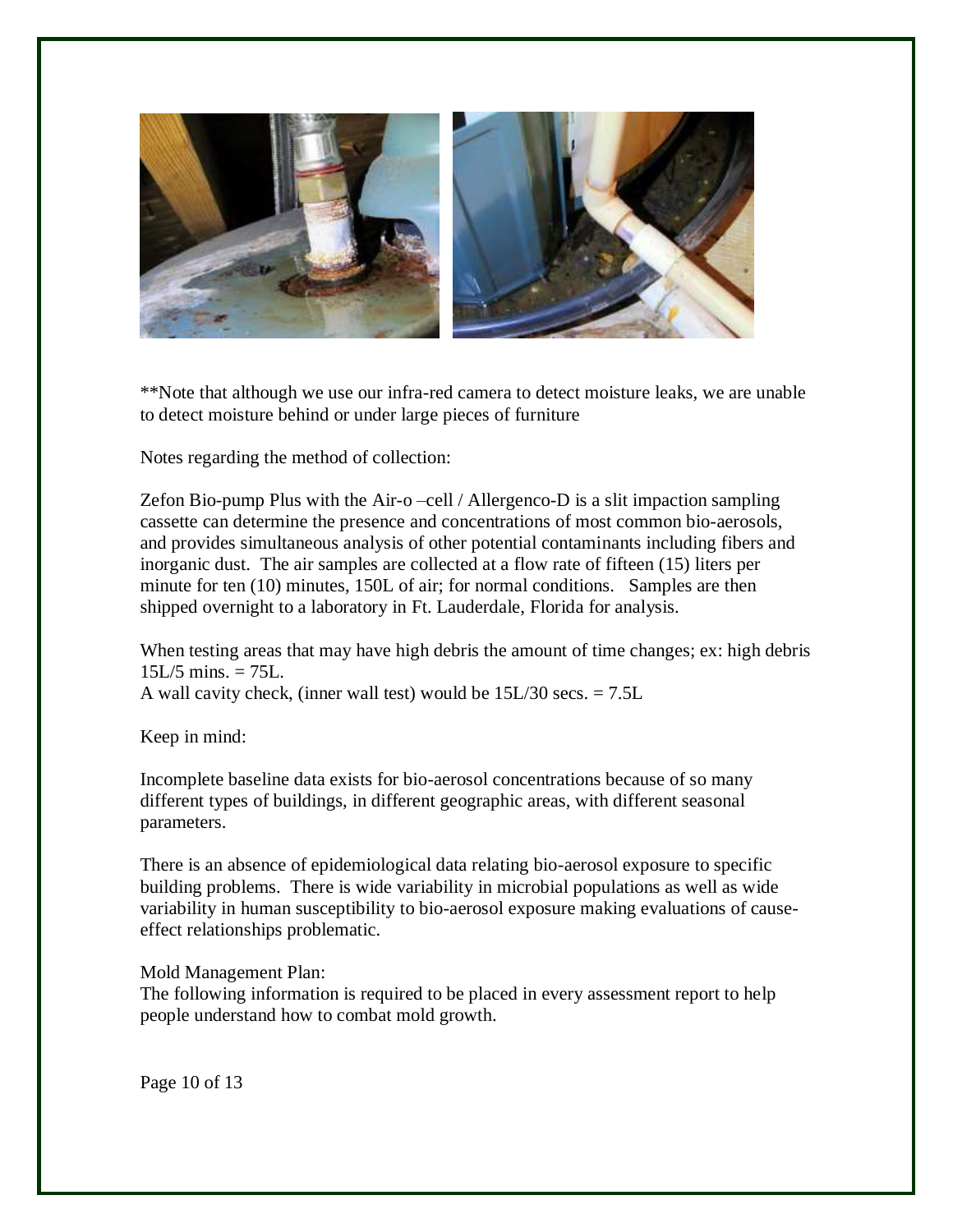

\*\*Note that although we use our infra-red camera to detect moisture leaks, we are unable to detect moisture behind or under large pieces of furniture

Notes regarding the method of collection:

Zefon Bio-pump Plus with the Air-o –cell / Allergenco-D is a slit impaction sampling cassette can determine the presence and concentrations of most common bio-aerosols, and provides simultaneous analysis of other potential contaminants including fibers and inorganic dust. The air samples are collected at a flow rate of fifteen (15) liters per minute for ten (10) minutes, 150L of air; for normal conditions. Samples are then shipped overnight to a laboratory in Ft. Lauderdale, Florida for analysis.

When testing areas that may have high debris the amount of time changes; ex: high debris  $15L/5$  mins.  $= 75L$ . A wall cavity check, (inner wall test) would be 15L/30 secs. = 7.5L

Keep in mind:

Incomplete baseline data exists for bio-aerosol concentrations because of so many different types of buildings, in different geographic areas, with different seasonal parameters.

There is an absence of epidemiological data relating bio-aerosol exposure to specific building problems. There is wide variability in microbial populations as well as wide variability in human susceptibility to bio-aerosol exposure making evaluations of causeeffect relationships problematic.

Mold Management Plan:

The following information is required to be placed in every assessment report to help people understand how to combat mold growth.

Page 10 of 13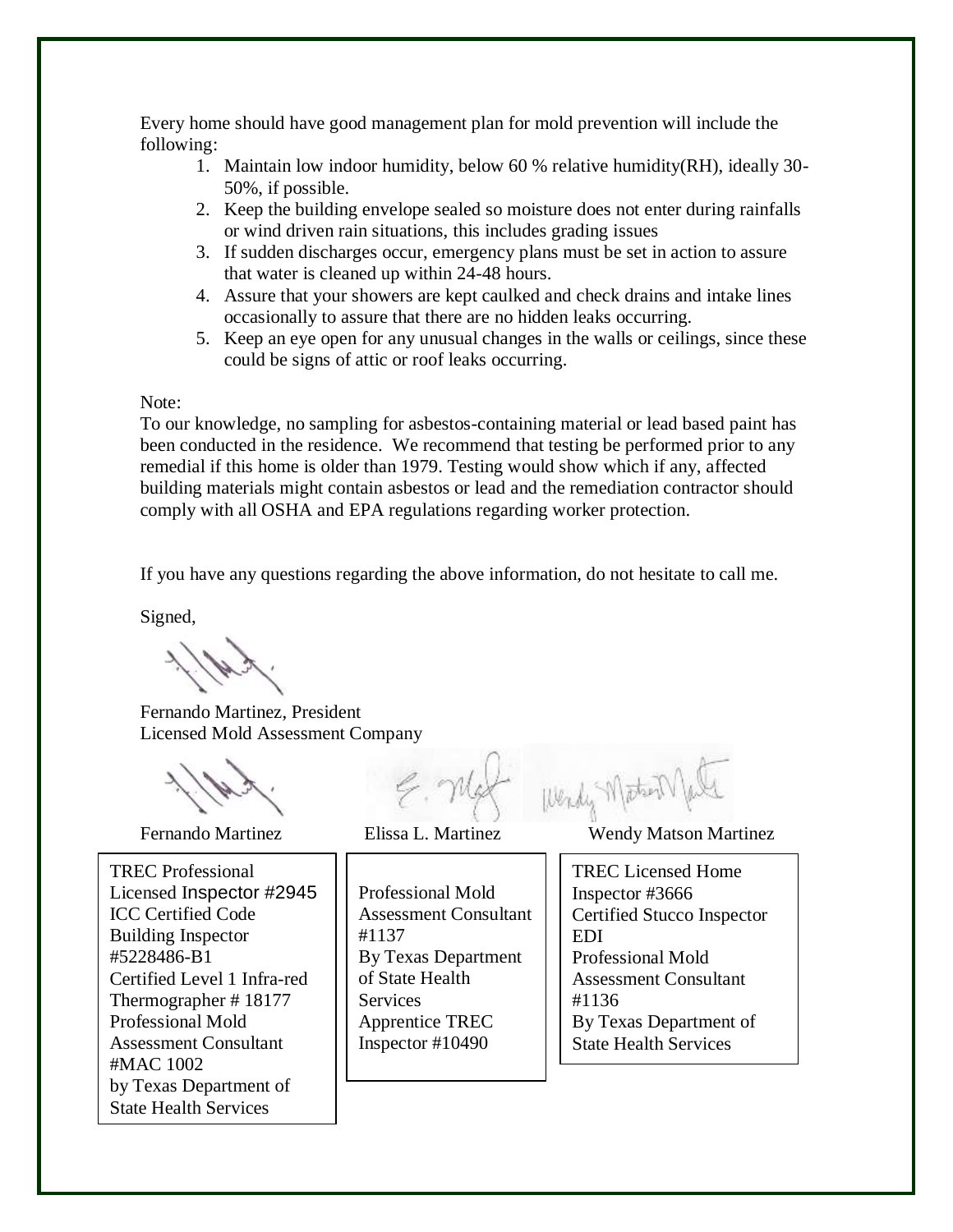Every home should have good management plan for mold prevention will include the following:

- 1. Maintain low indoor humidity, below 60 % relative humidity(RH), ideally 30- 50%, if possible.
- 2. Keep the building envelope sealed so moisture does not enter during rainfalls or wind driven rain situations, this includes grading issues
- 3. If sudden discharges occur, emergency plans must be set in action to assure that water is cleaned up within 24-48 hours.
- 4. Assure that your showers are kept caulked and check drains and intake lines occasionally to assure that there are no hidden leaks occurring.
- 5. Keep an eye open for any unusual changes in the walls or ceilings, since these could be signs of attic or roof leaks occurring.

Note:

To our knowledge, no sampling for asbestos-containing material or lead based paint has been conducted in the residence. We recommend that testing be performed prior to any remedial if this home is older than 1979. Testing would show which if any, affected building materials might contain asbestos or lead and the remediation contractor should comply with all OSHA and EPA regulations regarding worker protection.

If you have any questions regarding the above information, do not hesitate to call me.

Signed,

Fernando Martinez, President Licensed Mold Assessment Company

by Texas Department of  $\overline{a}$ TREC Professional Licensed Inspector #2945 ICC Certified Code Building Inspector #5228486-B1 Certified Level 1 Infra-red Thermographer # 18177 Professional Mold Assessment Consultant #MAC 1002 State Health Services

Certified EDI Stucco

Professional Mold Assessment Consultant #1137 By Texas Department of State Health Services Apprentice TREC Inspector #10490

Fernando Martinez Elissa L. Martinez Wendy Matson Martinez

Wendy Matson

TREC Licensed Home Inspector #3666 Certified Stucco Inspector EDI Professional Mold Assessment Consultant #1136 By Texas Department of State Health Services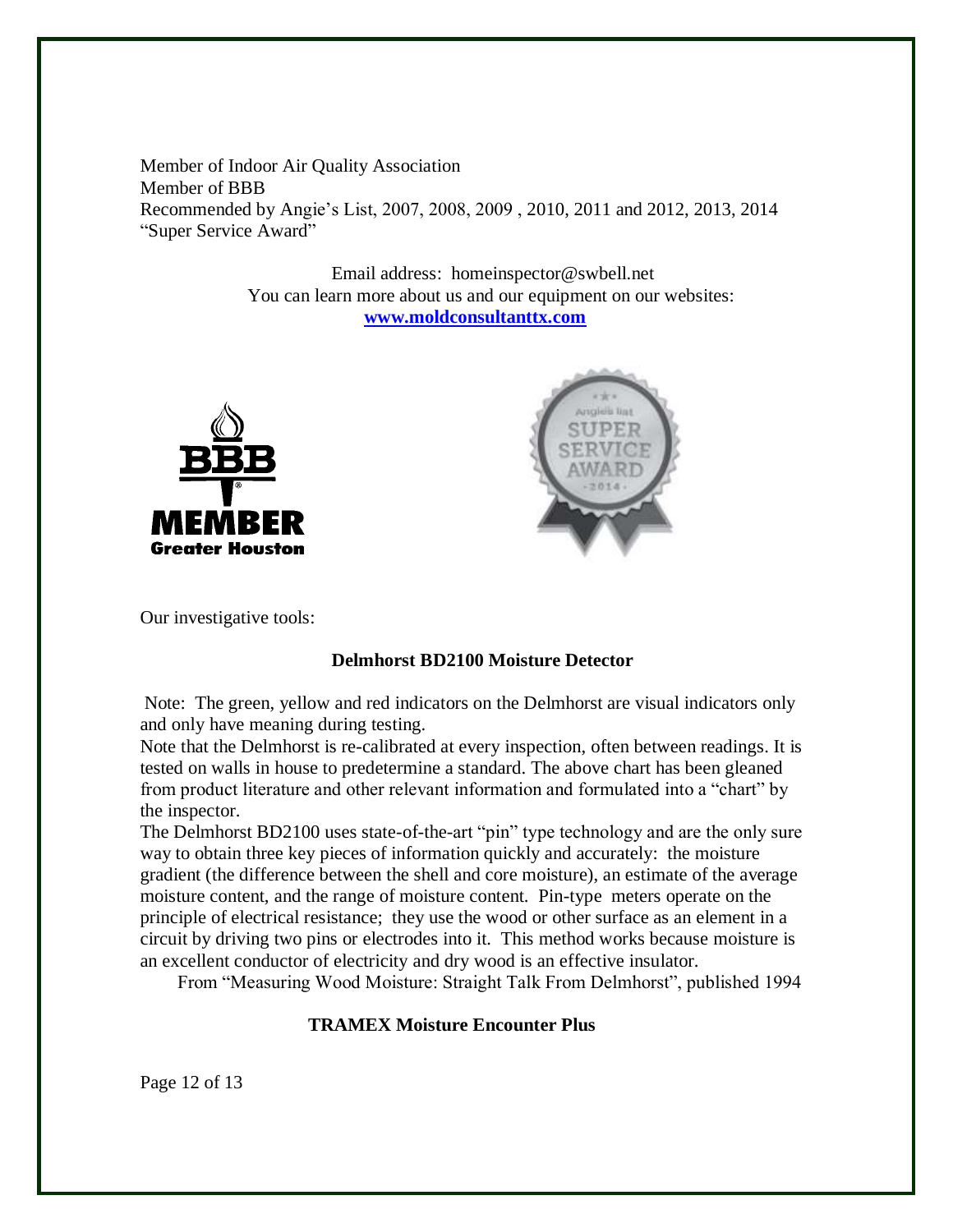Member of Indoor Air Quality Association Member of BBB Recommended by Angie's List, 2007, 2008, 2009 , 2010, 2011 and 2012, 2013, 2014 "Super Service Award"

> Email address: homeinspector@swbell.net You can learn more about us and our equipment on our websites: **[www.moldconsultanttx.com](http://www.moldconsultanttx.com/)**





Our investigative tools:

## **Delmhorst BD2100 Moisture Detector**

Note: The green, yellow and red indicators on the Delmhorst are visual indicators only and only have meaning during testing.

Note that the Delmhorst is re-calibrated at every inspection, often between readings. It is tested on walls in house to predetermine a standard. The above chart has been gleaned from product literature and other relevant information and formulated into a "chart" by the inspector.

The Delmhorst BD2100 uses state-of-the-art "pin" type technology and are the only sure way to obtain three key pieces of information quickly and accurately: the moisture gradient (the difference between the shell and core moisture), an estimate of the average moisture content, and the range of moisture content. Pin-type meters operate on the principle of electrical resistance; they use the wood or other surface as an element in a circuit by driving two pins or electrodes into it. This method works because moisture is an excellent conductor of electricity and dry wood is an effective insulator.

From "Measuring Wood Moisture: Straight Talk From Delmhorst", published 1994

## **TRAMEX Moisture Encounter Plus**

Page 12 of 13